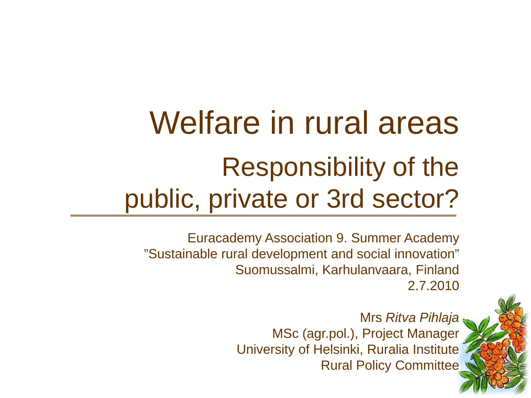# Welfare in rural areas Responsibility of the public, private or 3rd sector?

Euracademy Association 9. Summer Academy "Sustainable rural development and social innovation" Suomussalmi, Karhulanvaara, Finland 2.7.2010

> Mrs *Ritva Pihlaja*  MSc (agr.pol.), Project Manager University of Helsinki, Ruralia Institute Rural Policy Committee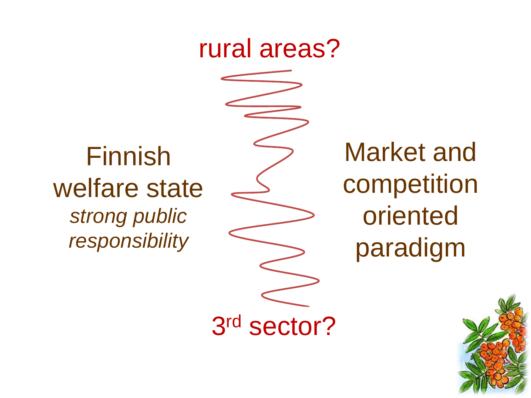## rural areas?

3rd sector?

## Finnish welfare state *strong public responsibility*

Market and competition oriented paradigm

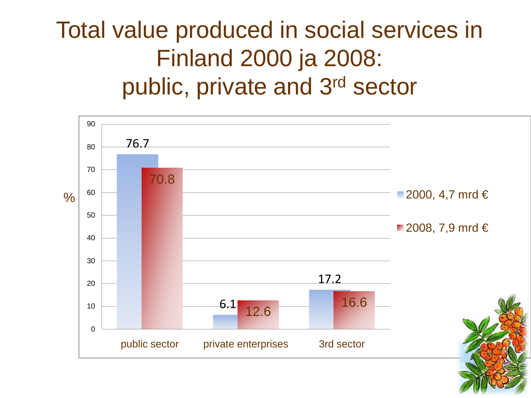## Total value produced in social services in Finland 2000 ja 2008: public, private and 3rd sector

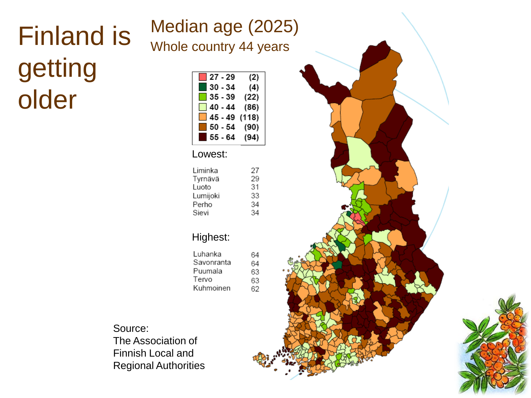# Finland is getting older

| $27 - 29$        | ľ            |
|------------------|--------------|
| $30 - 34$        | ('           |
| $35 - 39$        | (2)          |
| 40 - 44          | (8)          |
| 45 - 49          | (118)        |
| 50 - 54          | (90          |
| 55 - 64          | 9،)          |
| Lowest:          |              |
| Liminka          |              |
| Tyrnävä<br>Luoto | こくえん くう くうこう |
| Lumijoki         |              |
| Perho            |              |
| Sievi            |              |
|                  |              |
| Highest:         |              |
| tubanka          |              |

| Luhanka    |   |
|------------|---|
| Savonranta | F |
| Puumala    | ŀ |
| Tervo      | F |
| Kuhmoinen  | ŀ |

Source: The Association of Finnish Local and Regional Authorities

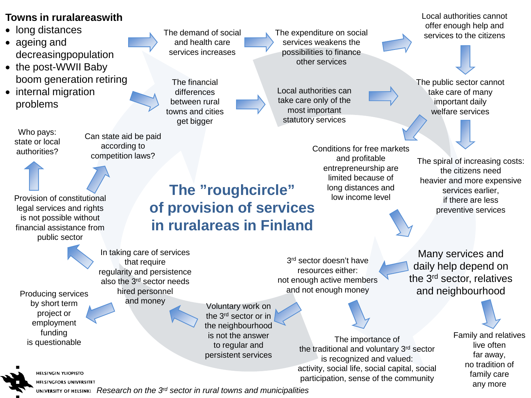#### **Towns in ruralareaswith**

• long distances

- ageing and decreasingpopulation
- the post-WWII Baby boom generation retiring
- internal migration problems

Who pays: state or local authorities?

The demand of social and health care services increases

The financial differences between rural towns and cities get bigger

The expenditure on social services weakens the possibilities to finance other services

Local authorities can take care only of the most important statutory services

> Conditions for free markets and profitable entrepreneurship are limited because of long distances and low income level

The public sector cannot take care of many important daily welfare services

Local authorities cannot offer enough help and services to the citizens

The spiral of increasing costs: the citizens need heavier and more expensive services earlier, if there are less preventive services

Provision of constitutional legal services and rights is not possible without financial assistance from public sector

**The "roughcircle" of provision of services in ruralareas in Finland**

Voluntary work on In taking care of services that require regularity and persistence also the 3rd sector needs hired personnel Producing services hired personn<br>hy short term and money

the 3rd sector or in the neighbourhood is not the answer to regular and persistent services

3<sup>rd</sup> sector doesn't have resources either: not enough active members and not enough money

> The importance of the traditional and voluntary 3rd sector is recognized and valued: activity, social life, social capital, social participation, sense of the community

Many services and daily help depend on the 3rd sector, relatives and neighbourhood

> Family and relatives live often far away, no tradition of family care any more

**HELSINGIN YLIOPISTO HELSINGFORS UNIVERSITET** 

by short term project or employment funding is questionable

*Research on the 3rd sector in rural towns and municipalities*

Can state aid be paid according to competition laws?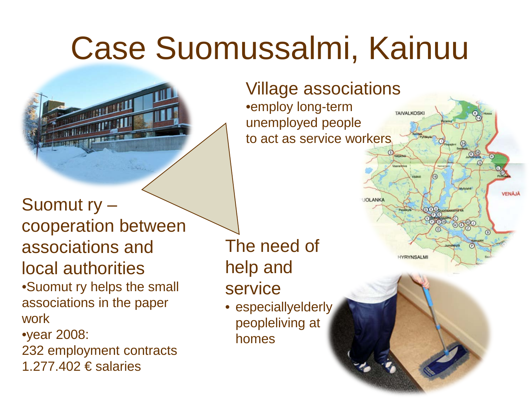# Case Suomussalmi, Kainuu



### Suomut ry – cooperation between associations and local authorities

•Suomut ry helps the small associations in the paper work

•year 2008:

232 employment contracts 1.277.402 € salaries

The need of help and

- service
- especiallyelderly peopleliving at homes

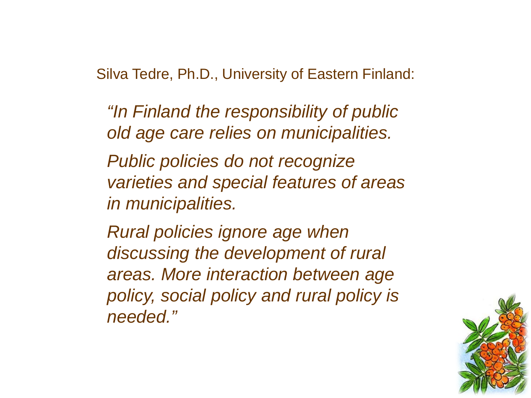Silva Tedre, Ph.D., University of Eastern Finland:

*"In Finland the responsibility of public old age care relies on municipalities.* 

*Public policies do not recognize varieties and special features of areas in municipalities.* 

*Rural policies ignore age when discussing the development of rural areas. More interaction between age policy, social policy and rural policy is needed."*